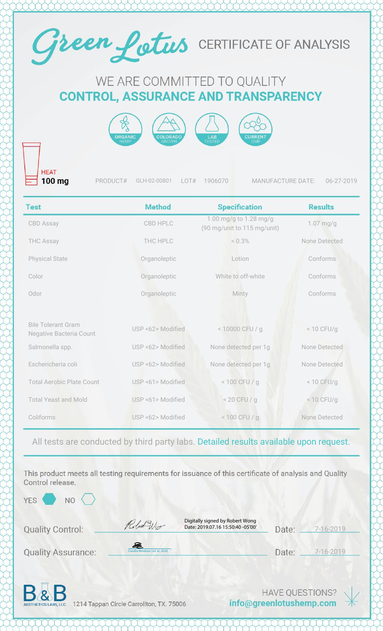

## WE ARE COMMITTED TO QUALITY **CONTROL, ASSURANCE AND TRANSPARENCY**



**HEAT** 100 mg

PRODUCT# GLH-02-00801 LOT# 1906070 MANUFACTURE DATE: 06-27-2019

| <b>Test</b>                                                 | <b>Method</b>     | <b>Specification</b>                                  | <b>Results</b> |
|-------------------------------------------------------------|-------------------|-------------------------------------------------------|----------------|
| <b>CBD Assay</b>                                            | <b>CBD HPLC</b>   | 1.00 mg/g to 1.28 mg/g<br>(90 mg/unit to 115 mg/unit) | $1.07$ mg/g    |
| <b>THC Assay</b>                                            | THC HPLC          | < 0.3%                                                | None Detected  |
| <b>Physical State</b>                                       | Organoleptic      | Lotion                                                | Conforms       |
| Color                                                       | Organoleptic      | White to off-white                                    | Conforms       |
| Odor                                                        | Organoleptic      | Minty                                                 | Conforms       |
|                                                             |                   |                                                       |                |
| <b>Bile Tolerant Gram</b><br><b>Negative Bacteria Count</b> | USP <62> Modified | < 10000 CFU / g                                       | < 10 CFU/g     |
| Salmonella spp.                                             | USP <62> Modified | None detected per 1g                                  | None Detected  |
| Eschericheria coli                                          | USP <62> Modified | None detected per 1g                                  | None Detected  |
| <b>Total Aerobic Plate Count</b>                            | USP <61> Modified | < 100 CFU / g                                         | $< 10$ CFU/g   |
| <b>Total Yeast and Mold</b>                                 | USP <61> Modified | $< 20$ CFU / g                                        | < 10 CFU/g     |
| Coliforms                                                   | USP <62> Modified | $< 100$ CFU / g                                       | None Detected  |

All tests are conducted by third party labs. Detailed results available upon request.

This product meets all testing requirements for issuance of this certificate of analysis and Quality Control release.